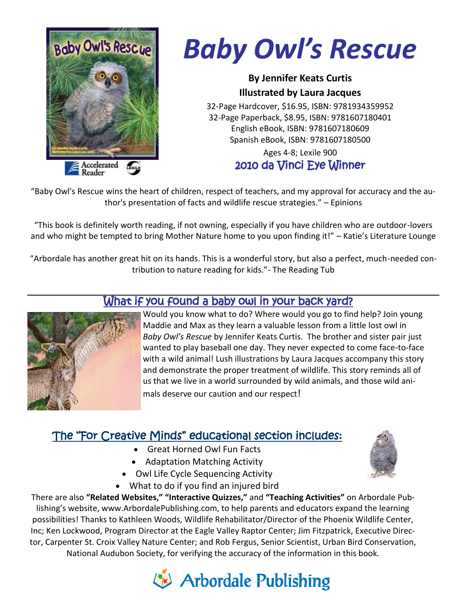

# *Baby Owl's Rescue*

#### **By Jennifer Keats Curtis Illustrated by Laura Jacques**

32-Page Hardcover, \$16.95, ISBN: 9781934359952 32-Page Paperback, \$8.95, ISBN: 9781607180401 English eBook, ISBN: 9781607180609 Spanish eBook, ISBN: 9781607180500

#### Ages 4-8; Lexile 900 2010 da Vinci Eye Winner

"Baby Owl's Rescue wins the heart of children, respect of teachers, and my approval for accuracy and the author's presentation of facts and wildlife rescue strategies." – Epinions

"This book is definitely worth reading, if not owning, especially if you have children who are outdoor-lovers and who might be tempted to bring Mother Nature home to you upon finding it!" – Katie's Literature Lounge

"Arbordale has another great hit on its hands. This is a wonderful story, but also a perfect, much-needed contribution to nature reading for kids."- The Reading Tub



#### What if you found a baby owl in your back yard?

Would you know what to do? Where would you go to find help? Join young Maddie and Max as they learn a valuable lesson from a little lost owl in *Baby Owl's Rescue* by Jennifer Keats Curtis. The brother and sister pair just wanted to play baseball one day. They never expected to come face-to-face with a wild animal! Lush illustrations by Laura Jacques accompany this story and demonstrate the proper treatment of wildlife. This story reminds all of us that we live in a world surrounded by wild animals, and those wild animals deserve our caution and our respect!

### The "For Creative Minds" educational section includes:

- Great Horned Owl Fun Facts
- Adaptation Matching Activity
- Owl Life Cycle Sequencing Activity
- What to do if you find an injured bird

There are also **"Related Websites," "Interactive Quizzes,"** and **"Teaching Activities"** on Arbordale Publishing's website, www.ArbordalePublishing.com, to help parents and educators expand the learning possibilities! Thanks to Kathleen Woods, Wildlife Rehabilitator/Director of the Phoenix Wildlife Center, Inc; Ken Lockwood, Program Director at the Eagle Valley Raptor Center; Jim Fitzpatrick, Executive Director, Carpenter St. Croix Valley Nature Center; and Rob Fergus, Senior Scientist, Urban Bird Conservation, National Audubon Society, for verifying the accuracy of the information in this book.